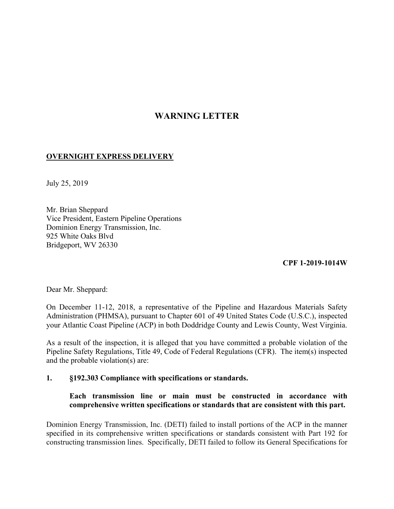# **WARNING LETTER**

## **OVERNIGHT EXPRESS DELIVERY**

July 25, 2019

Mr. Brian Sheppard Vice President, Eastern Pipeline Operations Dominion Energy Transmission, Inc. 925 White Oaks Blvd Bridgeport, WV 26330

### **CPF 1-2019-1014W**

Dear Mr. Sheppard:

On December 11-12, 2018, a representative of the Pipeline and Hazardous Materials Safety Administration (PHMSA), pursuant to Chapter 601 of 49 United States Code (U.S.C.), inspected your Atlantic Coast Pipeline (ACP) in both Doddridge County and Lewis County, West Virginia.

As a result of the inspection, it is alleged that you have committed a probable violation of the Pipeline Safety Regulations, Title 49, Code of Federal Regulations (CFR). The item(s) inspected and the probable violation(s) are:

### **1. §192.303 Compliance with specifications or standards.**

### **Each transmission line or main must be constructed in accordance with comprehensive written specifications or standards that are consistent with this part.**

Dominion Energy Transmission, Inc. (DETI) failed to install portions of the ACP in the manner specified in its comprehensive written specifications or standards consistent with Part 192 for constructing transmission lines. Specifically, DETI failed to follow its General Specifications for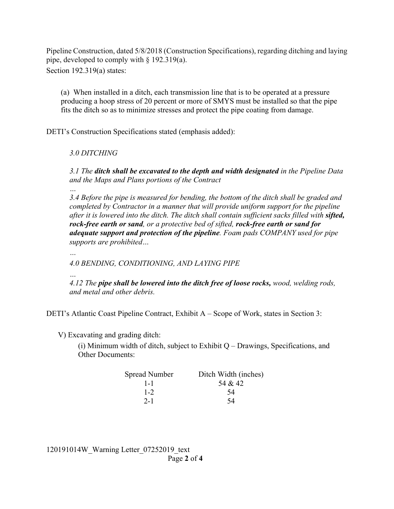Pipeline Construction, dated 5/8/2018 (Construction Specifications), regarding ditching and laying pipe, developed to comply with § 192.319(a). Section 192.319(a) states:

(a) When installed in a ditch, each transmission line that is to be operated at a pressure producing a hoop stress of 20 percent or more of SMYS must be installed so that the pipe fits the ditch so as to minimize stresses and protect the pipe coating from damage.

DETI's Construction Specifications stated (emphasis added):

*3.0 DITCHING* 

*…* 

*…* 

*3.1 The ditch shall be excavated to the depth and width designated in the Pipeline Data and the Maps and Plans portions of the Contract* 

*3.4 Before the pipe is measured for bending, the bottom of the ditch shall be graded and completed by Contractor in a manner that will provide uniform support for the pipeline after it is lowered into the ditch. The ditch shall contain sufficient sacks filled with sifted, rock-free earth or sand, or a protective bed of sifted, rock-free earth or sand for adequate support and protection of the pipeline. Foam pads COMPANY used for pipe supports are prohibited…* 

*4.0 BENDING, CONDITIONING, AND LAYING PIPE* 

*… 4.12 The pipe shall be lowered into the ditch free of loose rocks, wood, welding rods, and metal and other debris.* 

DETI's Atlantic Coast Pipeline Contract, Exhibit A – Scope of Work, states in Section 3:

V) Excavating and grading ditch:

(i) Minimum width of ditch, subject to Exhibit  $Q$  – Drawings, Specifications, and Other Documents:

| Spread Number | Ditch Width (inches) |
|---------------|----------------------|
| $1 - 1$       | 54 & 42              |
| $1 - 2$       | 54                   |
| $2 - 1$       | 54                   |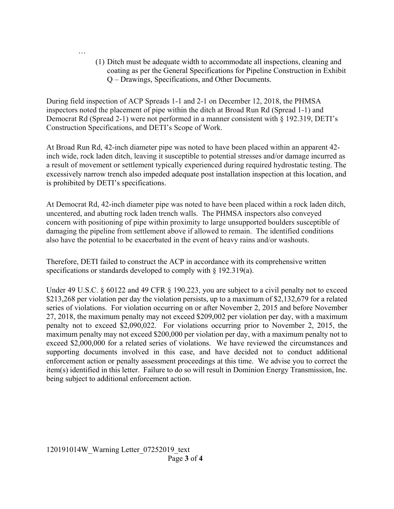(1) Ditch must be adequate width to accommodate all inspections, cleaning and coating as per the General Specifications for Pipeline Construction in Exhibit Q – Drawings, Specifications, and Other Documents.

During field inspection of ACP Spreads 1-1 and 2-1 on December 12, 2018, the PHMSA inspectors noted the placement of pipe within the ditch at Broad Run Rd (Spread 1-1) and Democrat Rd (Spread 2-1) were not performed in a manner consistent with § 192.319, DETI's Construction Specifications, and DETI's Scope of Work.

At Broad Run Rd, 42-inch diameter pipe was noted to have been placed within an apparent 42 inch wide, rock laden ditch, leaving it susceptible to potential stresses and/or damage incurred as a result of movement or settlement typically experienced during required hydrostatic testing. The excessively narrow trench also impeded adequate post installation inspection at this location, and is prohibited by DETI's specifications.

At Democrat Rd, 42-inch diameter pipe was noted to have been placed within a rock laden ditch, uncentered, and abutting rock laden trench walls. The PHMSA inspectors also conveyed concern with positioning of pipe within proximity to large unsupported boulders susceptible of damaging the pipeline from settlement above if allowed to remain. The identified conditions also have the potential to be exacerbated in the event of heavy rains and/or washouts.

Therefore, DETI failed to construct the ACP in accordance with its comprehensive written specifications or standards developed to comply with § 192.319(a).

 item(s) identified in this letter. Failure to do so will result in Dominion Energy Transmission, Inc. Under 49 U.S.C. § 60122 and 49 CFR § 190.223, you are subject to a civil penalty not to exceed \$213,268 per violation per day the violation persists, up to a maximum of \$2,132,679 for a related series of violations. For violation occurring on or after November 2, 2015 and before November 27, 2018, the maximum penalty may not exceed \$209,002 per violation per day, with a maximum penalty not to exceed \$2,090,022. For violations occurring prior to November 2, 2015, the maximum penalty may not exceed \$200,000 per violation per day, with a maximum penalty not to exceed \$2,000,000 for a related series of violations. We have reviewed the circumstances and supporting documents involved in this case, and have decided not to conduct additional enforcement action or penalty assessment proceedings at this time. We advise you to correct the being subject to additional enforcement action.

…